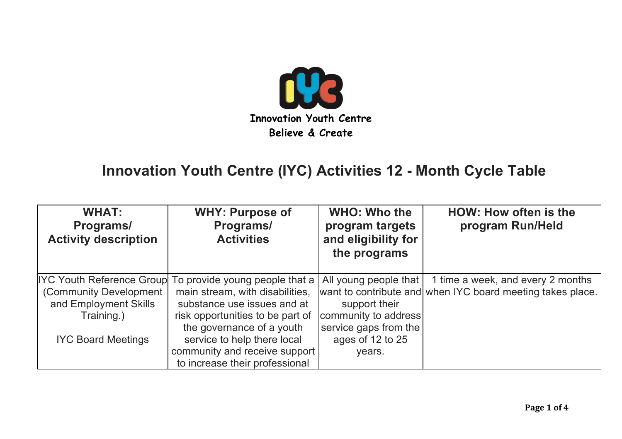

## **Innovation Youth Centre (IYC) Activities 12 - Month Cycle Table**

| <b>WHAT:</b><br>Programs/<br><b>Activity description</b> | <b>WHY: Purpose of</b><br>Programs/<br><b>Activities</b> | <b>WHO: Who the</b><br>program targets<br>and eligibility for<br>the programs | <b>HOW: How often is the</b><br>program Run/Held           |
|----------------------------------------------------------|----------------------------------------------------------|-------------------------------------------------------------------------------|------------------------------------------------------------|
|                                                          | IYC Youth Reference Group To provide young people that a |                                                                               | All young people that 1 time a week, and every 2 months    |
| (Community Development                                   | main stream, with disabilities,                          |                                                                               | want to contribute and when IYC board meeting takes place. |
| and Employment Skills                                    | substance use issues and at                              | support their                                                                 |                                                            |
| Training.)                                               | risk opportunities to be part of                         | community to address                                                          |                                                            |
|                                                          | the governance of a youth                                | service gaps from the                                                         |                                                            |
| <b>IYC Board Meetings</b>                                | service to help there local                              | ages of 12 to 25                                                              |                                                            |
|                                                          | community and receive support                            | years.                                                                        |                                                            |
|                                                          | to increase their professional                           |                                                                               |                                                            |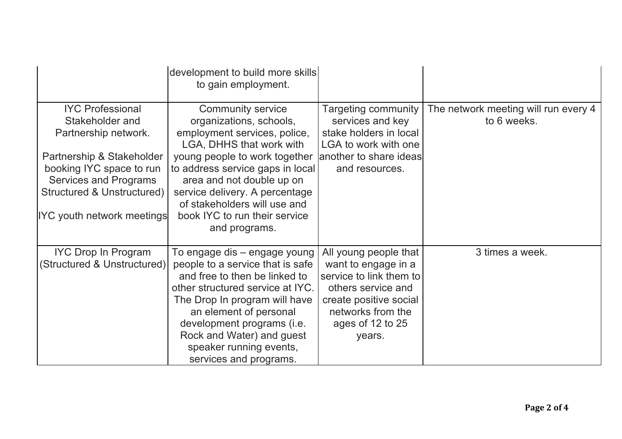|                                                                                                                                                                                                                             | development to build more skills<br>to gain employment.                                                                                                                                                                                                                                                                               |                                                                                                                                                                            |                                                     |
|-----------------------------------------------------------------------------------------------------------------------------------------------------------------------------------------------------------------------------|---------------------------------------------------------------------------------------------------------------------------------------------------------------------------------------------------------------------------------------------------------------------------------------------------------------------------------------|----------------------------------------------------------------------------------------------------------------------------------------------------------------------------|-----------------------------------------------------|
| <b>IYC Professional</b><br>Stakeholder and<br>Partnership network.<br>Partnership & Stakeholder<br>booking IYC space to run<br>Services and Programs<br><b>Structured &amp; Unstructured)</b><br>IYC youth network meetings | <b>Community service</b><br>organizations, schools,<br>employment services, police,<br>LGA, DHHS that work with<br>young people to work together<br>to address service gaps in local<br>area and not double up on<br>service delivery. A percentage<br>of stakeholders will use and<br>book IYC to run their service<br>and programs. | Targeting community<br>services and key<br>stake holders in local<br>LGA to work with one<br>another to share ideas<br>and resources.                                      | The network meeting will run every 4<br>to 6 weeks. |
| <b>IYC Drop In Program</b><br>(Structured & Unstructured)                                                                                                                                                                   | To engage dis – engage young<br>people to a service that is safe<br>and free to then be linked to<br>other structured service at IYC.<br>The Drop In program will have<br>an element of personal<br>development programs (i.e.<br>Rock and Water) and guest<br>speaker running events,<br>services and programs.                      | All young people that<br>want to engage in a<br>service to link them to<br>others service and<br>create positive social<br>networks from the<br>ages of 12 to 25<br>years. | 3 times a week.                                     |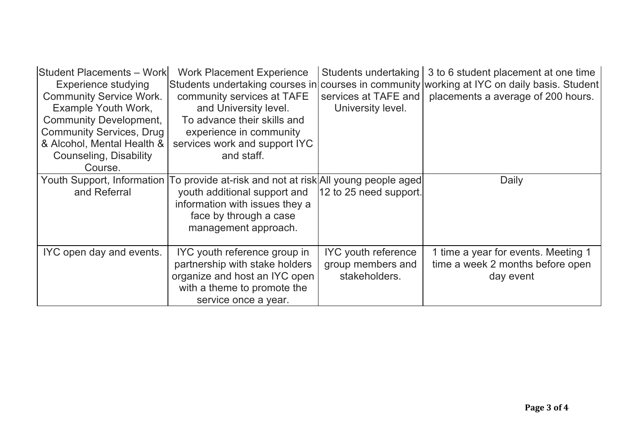| <b>Student Placements - Work</b><br>Experience studying<br><b>Community Service Work.</b><br>Example Youth Work,<br><b>Community Development,</b><br><b>Community Services, Drug</b><br>& Alcohol, Mental Health & | <b>Work Placement Experience</b><br>community services at TAFE<br>and University level.<br>To advance their skills and<br>experience in community<br>services work and support IYC                                              | Students undertaking<br>services at TAFE and<br>University level. | 3 to 6 student placement at one time<br>Students undertaking courses in courses in community working at IYC on daily basis. Student<br>placements a average of 200 hours. |
|--------------------------------------------------------------------------------------------------------------------------------------------------------------------------------------------------------------------|---------------------------------------------------------------------------------------------------------------------------------------------------------------------------------------------------------------------------------|-------------------------------------------------------------------|---------------------------------------------------------------------------------------------------------------------------------------------------------------------------|
| Counseling, Disability<br>Course.                                                                                                                                                                                  | and staff.                                                                                                                                                                                                                      |                                                                   |                                                                                                                                                                           |
| and Referral                                                                                                                                                                                                       | Youth Support, Information To provide at-risk and not at risk All young people aged<br>youth additional support and  12 to 25 need support.<br>information with issues they a<br>face by through a case<br>management approach. |                                                                   | Daily                                                                                                                                                                     |
| IYC open day and events.                                                                                                                                                                                           | IYC youth reference group in<br>partnership with stake holders<br>organize and host an IYC open<br>with a theme to promote the<br>service once a year.                                                                          | <b>IYC</b> youth reference<br>group members and<br>stakeholders.  | 1 time a year for events. Meeting 1<br>time a week 2 months before open<br>day event                                                                                      |